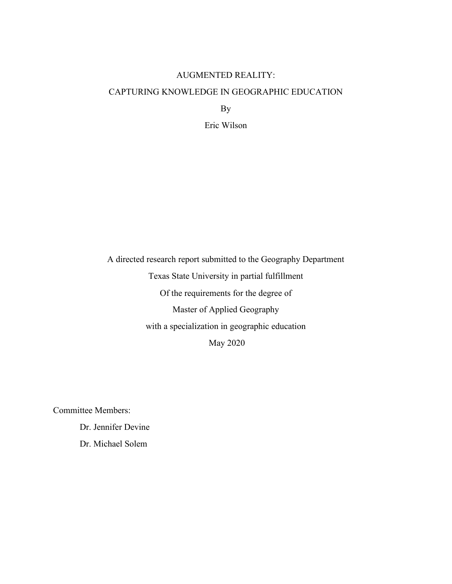### AUGMENTED REALITY:

### CAPTURING KNOWLEDGE IN GEOGRAPHIC EDUCATION

By

Eric Wilson

A directed research report submitted to the Geography Department

Texas State University in partial fulfillment

Of the requirements for the degree of

Master of Applied Geography

with a specialization in geographic education

May 2020

Committee Members:

Dr. Jennifer Devine

Dr. Michael Solem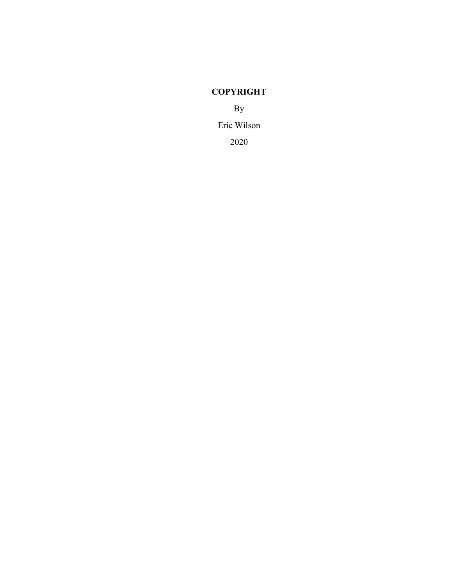# **COPYRIGHT**

By Eric Wilson 2020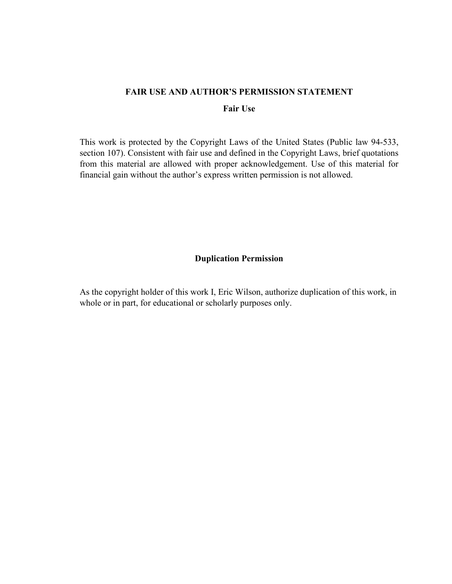#### **FAIR USE AND AUTHOR'S PERMISSION STATEMENT**

#### **Fair Use**

This work is protected by the Copyright Laws of the United States (Public law 94-533, section 107). Consistent with fair use and defined in the Copyright Laws, brief quotations from this material are allowed with proper acknowledgement. Use of this material for financial gain without the author's express written permission is not allowed.

# **Duplication Permission**

As the copyright holder of this work I, Eric Wilson, authorize duplication of this work, in whole or in part, for educational or scholarly purposes only.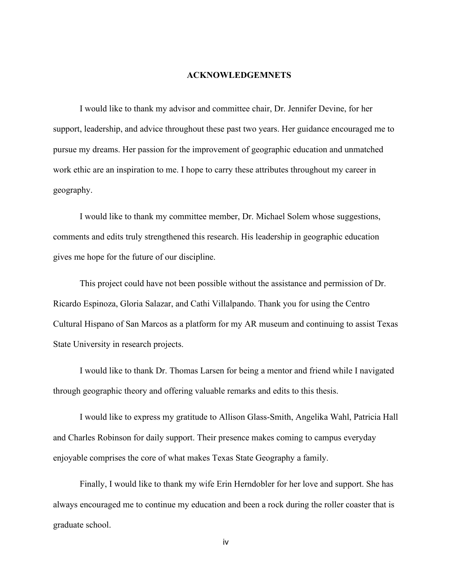#### **ACKNOWLEDGEMNETS**

I would like to thank my advisor and committee chair, Dr. Jennifer Devine, for her support, leadership, and advice throughout these past two years. Her guidance encouraged me to pursue my dreams. Her passion for the improvement of geographic education and unmatched work ethic are an inspiration to me. I hope to carry these attributes throughout my career in geography.

I would like to thank my committee member, Dr. Michael Solem whose suggestions, comments and edits truly strengthened this research. His leadership in geographic education gives me hope for the future of our discipline.

This project could have not been possible without the assistance and permission of Dr. Ricardo Espinoza, Gloria Salazar, and Cathi Villalpando. Thank you for using the Centro Cultural Hispano of San Marcos as a platform for my AR museum and continuing to assist Texas State University in research projects.

I would like to thank Dr. Thomas Larsen for being a mentor and friend while I navigated through geographic theory and offering valuable remarks and edits to this thesis.

I would like to express my gratitude to Allison Glass-Smith, Angelika Wahl, Patricia Hall and Charles Robinson for daily support. Their presence makes coming to campus everyday enjoyable comprises the core of what makes Texas State Geography a family.

Finally, I would like to thank my wife Erin Herndobler for her love and support. She has always encouraged me to continue my education and been a rock during the roller coaster that is graduate school.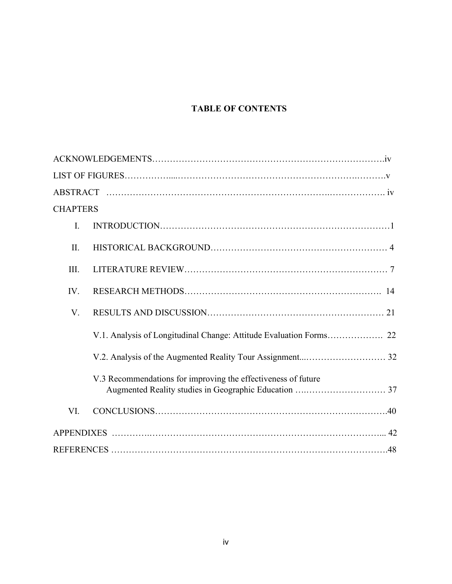# **TABLE OF CONTENTS**

| <b>CHAPTERS</b> |                                                                    |
|-----------------|--------------------------------------------------------------------|
| I.              |                                                                    |
| II.             |                                                                    |
| III.            |                                                                    |
| IV.             |                                                                    |
| V.              |                                                                    |
|                 | V.1. Analysis of Longitudinal Change: Attitude Evaluation Forms 22 |
|                 |                                                                    |
|                 | V.3 Recommendations for improving the effectiveness of future      |
| VI.             |                                                                    |
|                 |                                                                    |
|                 |                                                                    |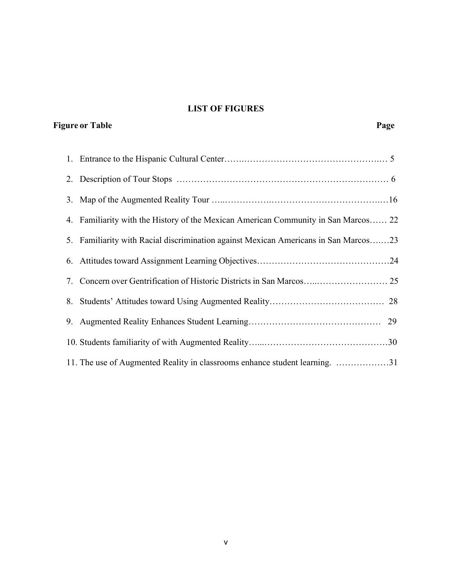# **LIST OF FIGURES**

# **Figure** or Table Page

| 4. Familiarity with the History of the Mexican American Community in San Marcos 22  |
|-------------------------------------------------------------------------------------|
| 5. Familiarity with Racial discrimination against Mexican Americans in San Marcos23 |
|                                                                                     |
| 7. Concern over Gentrification of Historic Districts in San Marcos 25               |
|                                                                                     |
|                                                                                     |
|                                                                                     |
| 11. The use of Augmented Reality in classrooms enhance student learning. 31         |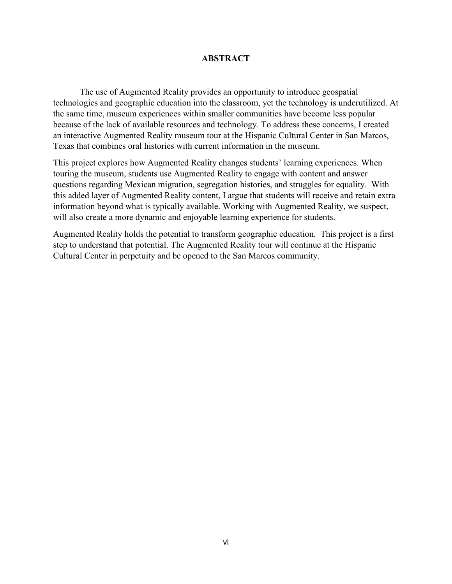#### **ABSTRACT**

The use of Augmented Reality provides an opportunity to introduce geospatial technologies and geographic education into the classroom, yet the technology is underutilized. At the same time, museum experiences within smaller communities have become less popular because of the lack of available resources and technology. To address these concerns, I created an interactive Augmented Reality museum tour at the Hispanic Cultural Center in San Marcos, Texas that combines oral histories with current information in the museum.

This project explores how Augmented Reality changes students' learning experiences. When touring the museum, students use Augmented Reality to engage with content and answer questions regarding Mexican migration, segregation histories, and struggles for equality. With this added layer of Augmented Reality content, I argue that students will receive and retain extra information beyond what is typically available. Working with Augmented Reality, we suspect, will also create a more dynamic and enjoyable learning experience for students.

Augmented Reality holds the potential to transform geographic education. This project is a first step to understand that potential. The Augmented Reality tour will continue at the Hispanic Cultural Center in perpetuity and be opened to the San Marcos community.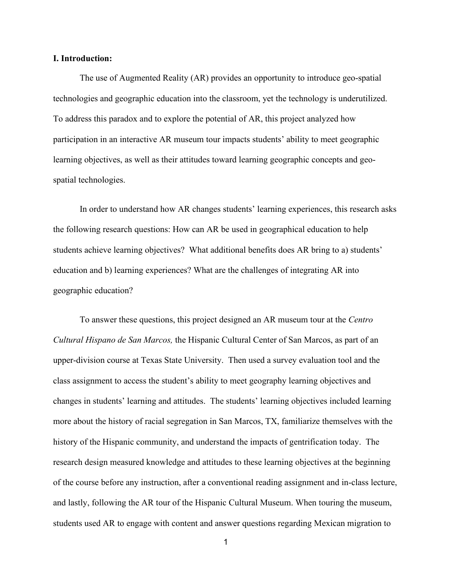#### **I. Introduction:**

The use of Augmented Reality (AR) provides an opportunity to introduce geo-spatial technologies and geographic education into the classroom, yet the technology is underutilized. To address this paradox and to explore the potential of AR, this project analyzed how participation in an interactive AR museum tour impacts students' ability to meet geographic learning objectives, as well as their attitudes toward learning geographic concepts and geospatial technologies.

In order to understand how AR changes students' learning experiences, this research asks the following research questions: How can AR be used in geographical education to help students achieve learning objectives? What additional benefits does AR bring to a) students' education and b) learning experiences? What are the challenges of integrating AR into geographic education?

To answer these questions, this project designed an AR museum tour at the *Centro Cultural Hispano de San Marcos,* the Hispanic Cultural Center of San Marcos, as part of an upper-division course at Texas State University. Then used a survey evaluation tool and the class assignment to access the student's ability to meet geography learning objectives and changes in students' learning and attitudes. The students' learning objectives included learning more about the history of racial segregation in San Marcos, TX, familiarize themselves with the history of the Hispanic community, and understand the impacts of gentrification today. The research design measured knowledge and attitudes to these learning objectives at the beginning of the course before any instruction, after a conventional reading assignment and in-class lecture, and lastly, following the AR tour of the Hispanic Cultural Museum. When touring the museum, students used AR to engage with content and answer questions regarding Mexican migration to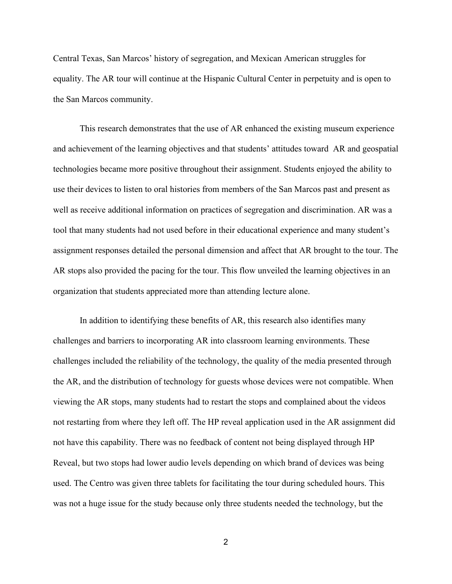Central Texas, San Marcos' history of segregation, and Mexican American struggles for equality. The AR tour will continue at the Hispanic Cultural Center in perpetuity and is open to the San Marcos community.

This research demonstrates that the use of AR enhanced the existing museum experience and achievement of the learning objectives and that students' attitudes toward AR and geospatial technologies became more positive throughout their assignment. Students enjoyed the ability to use their devices to listen to oral histories from members of the San Marcos past and present as well as receive additional information on practices of segregation and discrimination. AR was a tool that many students had not used before in their educational experience and many student's assignment responses detailed the personal dimension and affect that AR brought to the tour. The AR stops also provided the pacing for the tour. This flow unveiled the learning objectives in an organization that students appreciated more than attending lecture alone.

In addition to identifying these benefits of AR, this research also identifies many challenges and barriers to incorporating AR into classroom learning environments. These challenges included the reliability of the technology, the quality of the media presented through the AR, and the distribution of technology for guests whose devices were not compatible. When viewing the AR stops, many students had to restart the stops and complained about the videos not restarting from where they left off. The HP reveal application used in the AR assignment did not have this capability. There was no feedback of content not being displayed through HP Reveal, but two stops had lower audio levels depending on which brand of devices was being used. The Centro was given three tablets for facilitating the tour during scheduled hours. This was not a huge issue for the study because only three students needed the technology, but the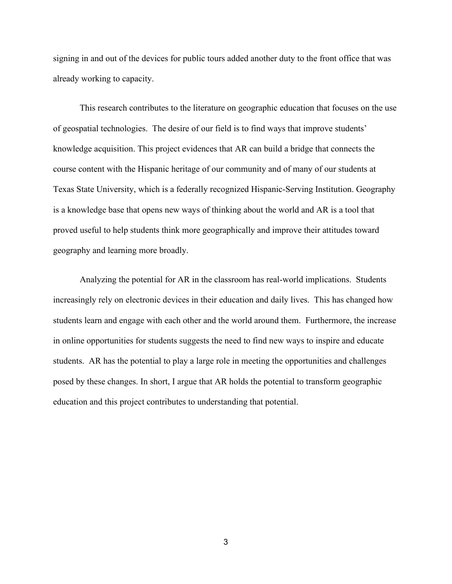signing in and out of the devices for public tours added another duty to the front office that was already working to capacity.

This research contributes to the literature on geographic education that focuses on the use of geospatial technologies. The desire of our field is to find ways that improve students' knowledge acquisition. This project evidences that AR can build a bridge that connects the course content with the Hispanic heritage of our community and of many of our students at Texas State University, which is a federally recognized Hispanic-Serving Institution. Geography is a knowledge base that opens new ways of thinking about the world and AR is a tool that proved useful to help students think more geographically and improve their attitudes toward geography and learning more broadly.

Analyzing the potential for AR in the classroom has real-world implications. Students increasingly rely on electronic devices in their education and daily lives. This has changed how students learn and engage with each other and the world around them. Furthermore, the increase in online opportunities for students suggests the need to find new ways to inspire and educate students. AR has the potential to play a large role in meeting the opportunities and challenges posed by these changes. In short, I argue that AR holds the potential to transform geographic education and this project contributes to understanding that potential.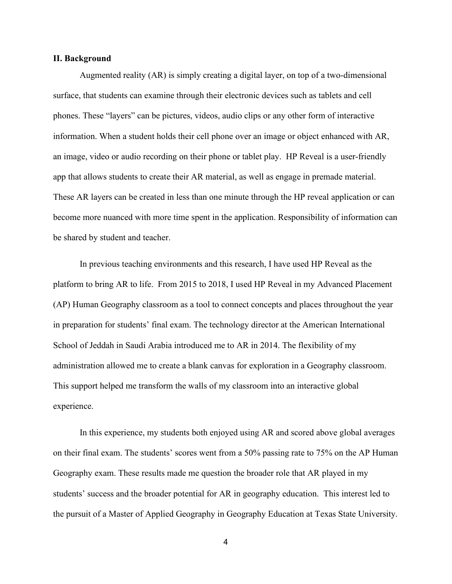#### **II. Background**

 Augmented reality (AR) is simply creating a digital layer, on top of a two-dimensional surface, that students can examine through their electronic devices such as tablets and cell phones. These "layers" can be pictures, videos, audio clips or any other form of interactive information. When a student holds their cell phone over an image or object enhanced with AR, an image, video or audio recording on their phone or tablet play. HP Reveal is a user-friendly app that allows students to create their AR material, as well as engage in premade material. These AR layers can be created in less than one minute through the HP reveal application or can become more nuanced with more time spent in the application. Responsibility of information can be shared by student and teacher.

In previous teaching environments and this research, I have used HP Reveal as the platform to bring AR to life. From 2015 to 2018, I used HP Reveal in my Advanced Placement (AP) Human Geography classroom as a tool to connect concepts and places throughout the year in preparation for students' final exam. The technology director at the American International School of Jeddah in Saudi Arabia introduced me to AR in 2014. The flexibility of my administration allowed me to create a blank canvas for exploration in a Geography classroom. This support helped me transform the walls of my classroom into an interactive global experience.

In this experience, my students both enjoyed using AR and scored above global averages on their final exam. The students' scores went from a 50% passing rate to 75% on the AP Human Geography exam. These results made me question the broader role that AR played in my students' success and the broader potential for AR in geography education. This interest led to the pursuit of a Master of Applied Geography in Geography Education at Texas State University.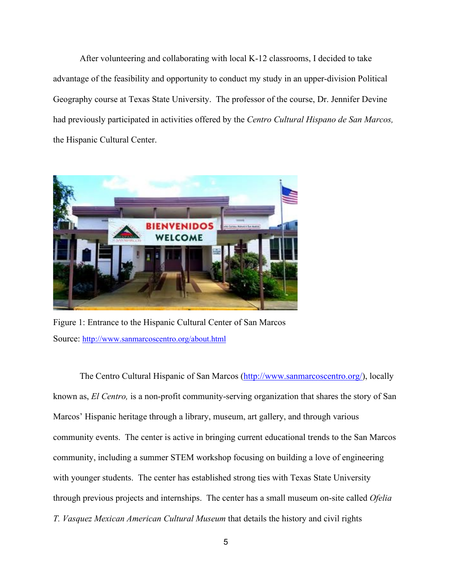After volunteering and collaborating with local K-12 classrooms, I decided to take advantage of the feasibility and opportunity to conduct my study in an upper-division Political Geography course at Texas State University. The professor of the course, Dr. Jennifer Devine had previously participated in activities offered by the *Centro Cultural Hispano de San Marcos,*  the Hispanic Cultural Center.



Figure 1: Entrance to the Hispanic Cultural Center of San Marcos Source: <http://www.sanmarcoscentro.org/about.html>

The Centro Cultural Hispanic of San Marcos [\(http://www.sanmarcoscentro.org/\)](http://www.sanmarcoscentro.org/), locally known as, *El Centro,* is a non-profit community-serving organization that shares the story of San Marcos' Hispanic heritage through a library, museum, art gallery, and through various community events. The center is active in bringing current educational trends to the San Marcos community, including a summer STEM workshop focusing on building a love of engineering with younger students. The center has established strong ties with Texas State University through previous projects and internships. The center has a small museum on-site called *Ofelia T. Vasquez Mexican American Cultural Museum* that details the history and civil rights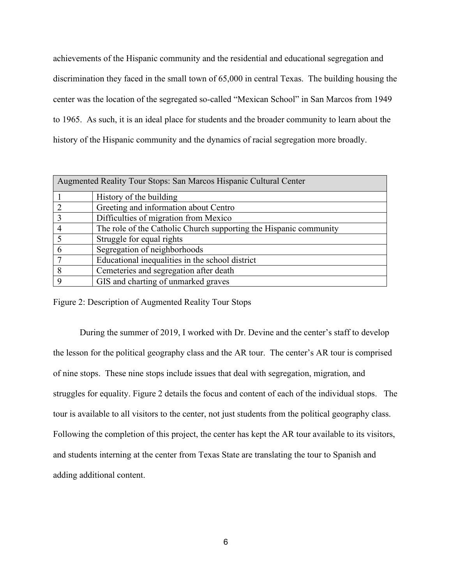achievements of the Hispanic community and the residential and educational segregation and discrimination they faced in the small town of 65,000 in central Texas. The building housing the center was the location of the segregated so-called "Mexican School" in San Marcos from 1949 to 1965. As such, it is an ideal place for students and the broader community to learn about the history of the Hispanic community and the dynamics of racial segregation more broadly.

| Augmented Reality Tour Stops: San Marcos Hispanic Cultural Center |                                                                   |  |  |
|-------------------------------------------------------------------|-------------------------------------------------------------------|--|--|
|                                                                   | History of the building                                           |  |  |
|                                                                   | Greeting and information about Centro                             |  |  |
|                                                                   | Difficulties of migration from Mexico                             |  |  |
|                                                                   | The role of the Catholic Church supporting the Hispanic community |  |  |
|                                                                   | Struggle for equal rights                                         |  |  |
| 6                                                                 | Segregation of neighborhoods                                      |  |  |
|                                                                   | Educational inequalities in the school district                   |  |  |
| 8                                                                 | Cemeteries and segregation after death                            |  |  |
|                                                                   | GIS and charting of unmarked graves                               |  |  |

Figure 2: Description of Augmented Reality Tour Stops

During the summer of 2019, I worked with Dr. Devine and the center's staff to develop the lesson for the political geography class and the AR tour. The center's AR tour is comprised of nine stops. These nine stops include issues that deal with segregation, migration, and struggles for equality. Figure 2 details the focus and content of each of the individual stops. The tour is available to all visitors to the center, not just students from the political geography class. Following the completion of this project, the center has kept the AR tour available to its visitors, and students interning at the center from Texas State are translating the tour to Spanish and adding additional content.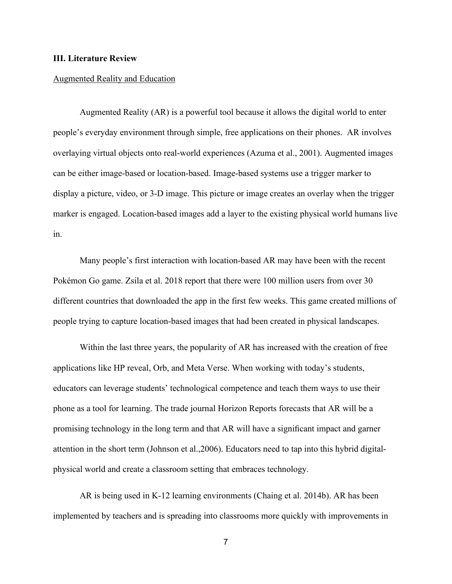#### **III. Literature Review**

#### Augmented Reality and Education

Augmented Reality (AR) is a powerful tool because it allows the digital world to enter people's everyday environment through simple, free applications on their phones. AR involves overlaying virtual objects onto real-world experiences (Azuma et al., 2001). Augmented images can be either image-based or location-based. Image-based systems use a trigger marker to display a picture, video, or 3-D image. This picture or image creates an overlay when the trigger marker is engaged. Location-based images add a layer to the existing physical world humans live in.

Many people's first interaction with location-based AR may have been with the recent Pokémon Go game. Zsila et al. 2018 report that there were 100 million users from over 30 different countries that downloaded the app in the first few weeks. This game created millions of people trying to capture location-based images that had been created in physical landscapes.

Within the last three years, the popularity of AR has increased with the creation of free applications like HP reveal, Orb, and Meta Verse. When working with today's students, educators can leverage students' technological competence and teach them ways to use their phone as a tool for learning. The trade journal Horizon Reports forecasts that AR will be a promising technology in the long term and that AR will have a significant impact and garner attention in the short term (Johnson et al.,2006). Educators need to tap into this hybrid digitalphysical world and create a classroom setting that embraces technology.

AR is being used in K-12 learning environments (Chaing et al. 2014b). AR has been implemented by teachers and is spreading into classrooms more quickly with improvements in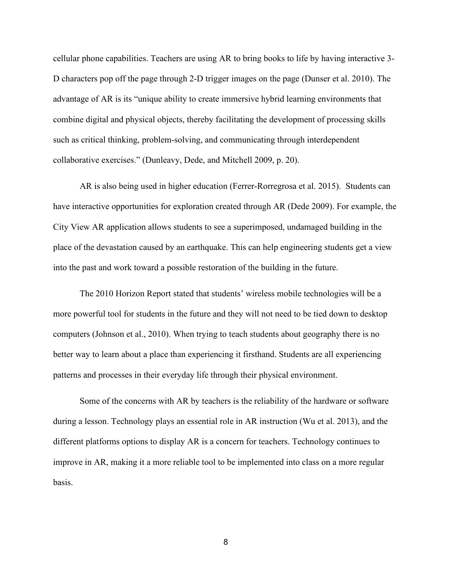cellular phone capabilities. Teachers are using AR to bring books to life by having interactive 3- D characters pop off the page through 2-D trigger images on the page (Dunser et al. 2010). The advantage of AR is its "unique ability to create immersive hybrid learning environments that combine digital and physical objects, thereby facilitating the development of processing skills such as critical thinking, problem-solving, and communicating through interdependent collaborative exercises." (Dunleavy, Dede, and Mitchell 2009, p. 20).

AR is also being used in higher education (Ferrer-Rorregrosa et al. 2015). Students can have interactive opportunities for exploration created through AR (Dede 2009). For example, the City View AR application allows students to see a superimposed, undamaged building in the place of the devastation caused by an earthquake. This can help engineering students get a view into the past and work toward a possible restoration of the building in the future.

The 2010 Horizon Report stated that students' wireless mobile technologies will be a more powerful tool for students in the future and they will not need to be tied down to desktop computers (Johnson et al., 2010). When trying to teach students about geography there is no better way to learn about a place than experiencing it firsthand. Students are all experiencing patterns and processes in their everyday life through their physical environment.

Some of the concerns with AR by teachers is the reliability of the hardware or software during a lesson. Technology plays an essential role in AR instruction (Wu et al. 2013), and the different platforms options to display AR is a concern for teachers. Technology continues to improve in AR, making it a more reliable tool to be implemented into class on a more regular basis.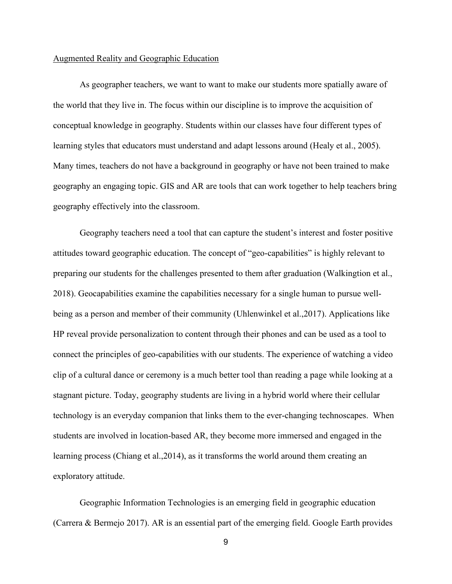#### Augmented Reality and Geographic Education

As geographer teachers, we want to want to make our students more spatially aware of the world that they live in. The focus within our discipline is to improve the acquisition of conceptual knowledge in geography. Students within our classes have four different types of learning styles that educators must understand and adapt lessons around (Healy et al., 2005). Many times, teachers do not have a background in geography or have not been trained to make geography an engaging topic. GIS and AR are tools that can work together to help teachers bring geography effectively into the classroom.

Geography teachers need a tool that can capture the student's interest and foster positive attitudes toward geographic education. The concept of "geo-capabilities" is highly relevant to preparing our students for the challenges presented to them after graduation (Walkingtion et al., 2018). Geocapabilities examine the capabilities necessary for a single human to pursue wellbeing as a person and member of their community (Uhlenwinkel et al.,2017). Applications like HP reveal provide personalization to content through their phones and can be used as a tool to connect the principles of geo-capabilities with our students. The experience of watching a video clip of a cultural dance or ceremony is a much better tool than reading a page while looking at a stagnant picture. Today, geography students are living in a hybrid world where their cellular technology is an everyday companion that links them to the ever-changing technoscapes. When students are involved in location-based AR, they become more immersed and engaged in the learning process (Chiang et al.,2014), as it transforms the world around them creating an exploratory attitude.

Geographic Information Technologies is an emerging field in geographic education (Carrera & Bermejo 2017). AR is an essential part of the emerging field. Google Earth provides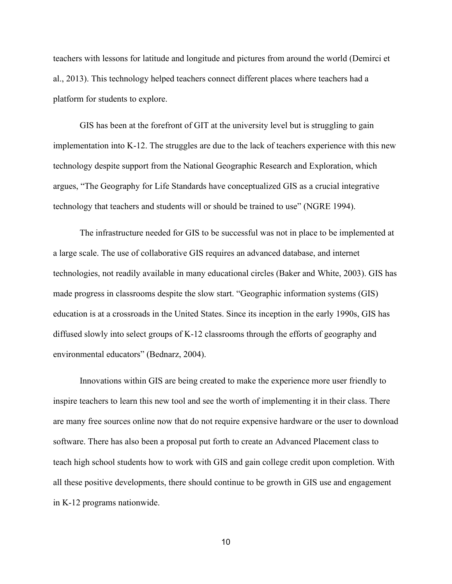teachers with lessons for latitude and longitude and pictures from around the world (Demirci et al., 2013). This technology helped teachers connect different places where teachers had a platform for students to explore.

GIS has been at the forefront of GIT at the university level but is struggling to gain implementation into K-12. The struggles are due to the lack of teachers experience with this new technology despite support from the National Geographic Research and Exploration, which argues, "The Geography for Life Standards have conceptualized GIS as a crucial integrative technology that teachers and students will or should be trained to use" (NGRE 1994).

The infrastructure needed for GIS to be successful was not in place to be implemented at a large scale. The use of collaborative GIS requires an advanced database, and internet technologies, not readily available in many educational circles (Baker and White, 2003). GIS has made progress in classrooms despite the slow start. "Geographic information systems (GIS) education is at a crossroads in the United States. Since its inception in the early 1990s, GIS has diffused slowly into select groups of K-12 classrooms through the efforts of geography and environmental educators" (Bednarz, 2004).

Innovations within GIS are being created to make the experience more user friendly to inspire teachers to learn this new tool and see the worth of implementing it in their class. There are many free sources online now that do not require expensive hardware or the user to download software. There has also been a proposal put forth to create an Advanced Placement class to teach high school students how to work with GIS and gain college credit upon completion. With all these positive developments, there should continue to be growth in GIS use and engagement in K-12 programs nationwide.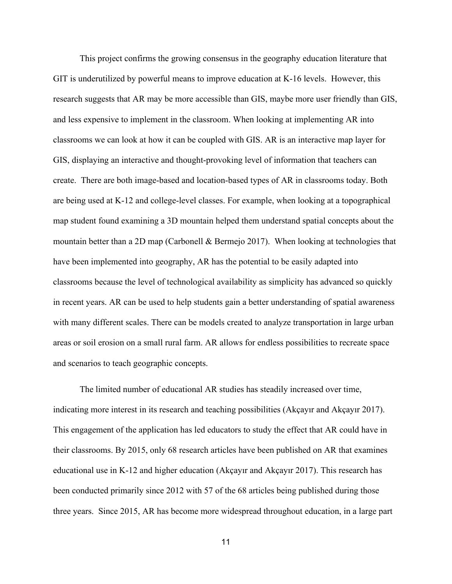This project confirms the growing consensus in the geography education literature that GIT is underutilized by powerful means to improve education at K-16 levels. However, this research suggests that AR may be more accessible than GIS, maybe more user friendly than GIS, and less expensive to implement in the classroom. When looking at implementing AR into classrooms we can look at how it can be coupled with GIS. AR is an interactive map layer for GIS, displaying an interactive and thought-provoking level of information that teachers can create. There are both image-based and location-based types of AR in classrooms today. Both are being used at K-12 and college-level classes. For example, when looking at a topographical map student found examining a 3D mountain helped them understand spatial concepts about the mountain better than a 2D map (Carbonell & Bermejo 2017). When looking at technologies that have been implemented into geography, AR has the potential to be easily adapted into classrooms because the level of technological availability as simplicity has advanced so quickly in recent years. AR can be used to help students gain a better understanding of spatial awareness with many different scales. There can be models created to analyze transportation in large urban areas or soil erosion on a small rural farm. AR allows for endless possibilities to recreate space and scenarios to teach geographic concepts.

The limited number of educational AR studies has steadily increased over time, indicating more interest in its research and teaching possibilities (Akçayır and Akçayır 2017). This engagement of the application has led educators to study the effect that AR could have in their classrooms. By 2015, only 68 research articles have been published on AR that examines educational use in K-12 and higher education (Akçayır and Akçayır 2017). This research has been conducted primarily since 2012 with 57 of the 68 articles being published during those three years. Since 2015, AR has become more widespread throughout education, in a large part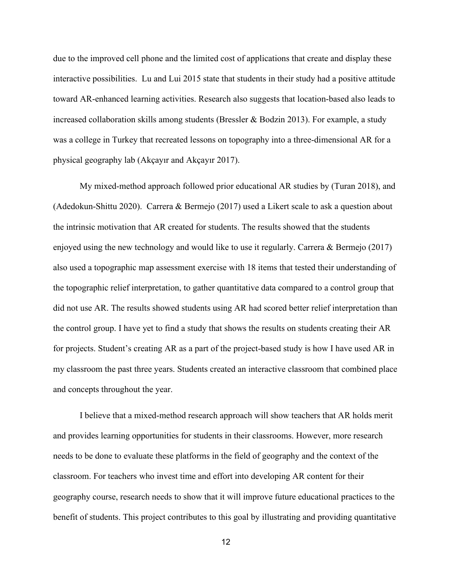due to the improved cell phone and the limited cost of applications that create and display these interactive possibilities. Lu and Lui 2015 state that students in their study had a positive attitude toward AR-enhanced learning activities. Research also suggests that location-based also leads to increased collaboration skills among students (Bressler & Bodzin 2013). For example, a study was a college in Turkey that recreated lessons on topography into a three-dimensional AR for a physical geography lab (Akçayır and Akçayır 2017).

My mixed-method approach followed prior educational AR studies by (Turan 2018), and (Adedokun-Shittu 2020). Carrera & Bermejo (2017) used a Likert scale to ask a question about the intrinsic motivation that AR created for students. The results showed that the students enjoyed using the new technology and would like to use it regularly. Carrera & Bermejo (2017) also used a topographic map assessment exercise with 18 items that tested their understanding of the topographic relief interpretation, to gather quantitative data compared to a control group that did not use AR. The results showed students using AR had scored better relief interpretation than the control group. I have yet to find a study that shows the results on students creating their AR for projects. Student's creating AR as a part of the project-based study is how I have used AR in my classroom the past three years. Students created an interactive classroom that combined place and concepts throughout the year.

I believe that a mixed-method research approach will show teachers that AR holds merit and provides learning opportunities for students in their classrooms. However, more research needs to be done to evaluate these platforms in the field of geography and the context of the classroom. For teachers who invest time and effort into developing AR content for their geography course, research needs to show that it will improve future educational practices to the benefit of students. This project contributes to this goal by illustrating and providing quantitative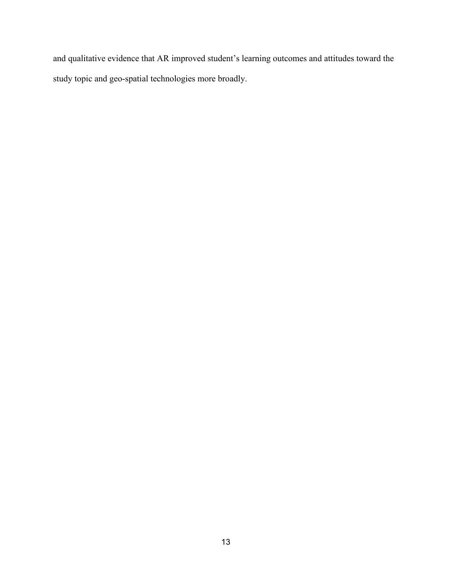and qualitative evidence that AR improved student's learning outcomes and attitudes toward the study topic and geo-spatial technologies more broadly.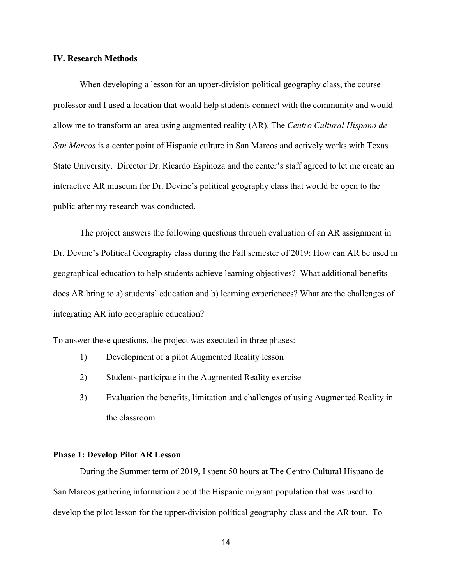#### **IV. Research Methods**

When developing a lesson for an upper-division political geography class, the course professor and I used a location that would help students connect with the community and would allow me to transform an area using augmented reality (AR). The *Centro Cultural Hispano de San Marcos* is a center point of Hispanic culture in San Marcos and actively works with Texas State University. Director Dr. Ricardo Espinoza and the center's staff agreed to let me create an interactive AR museum for Dr. Devine's political geography class that would be open to the public after my research was conducted.

The project answers the following questions through evaluation of an AR assignment in Dr. Devine's Political Geography class during the Fall semester of 2019: How can AR be used in geographical education to help students achieve learning objectives? What additional benefits does AR bring to a) students' education and b) learning experiences? What are the challenges of integrating AR into geographic education?

To answer these questions, the project was executed in three phases:

- 1) Development of a pilot Augmented Reality lesson
- 2) Students participate in the Augmented Reality exercise
- 3) Evaluation the benefits, limitation and challenges of using Augmented Reality in the classroom

#### **Phase 1: Develop Pilot AR Lesson**

During the Summer term of 2019, I spent 50 hours at The Centro Cultural Hispano de San Marcos gathering information about the Hispanic migrant population that was used to develop the pilot lesson for the upper-division political geography class and the AR tour. To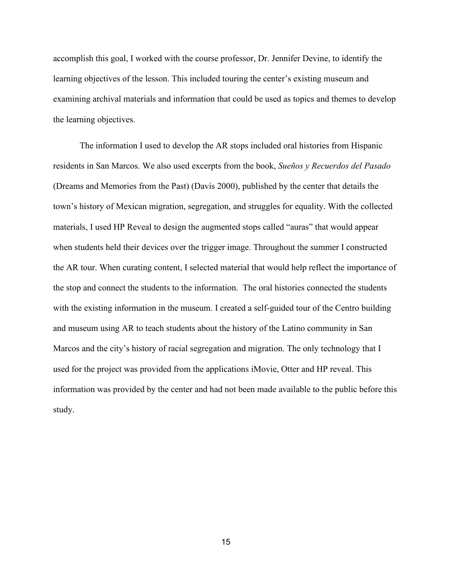accomplish this goal, I worked with the course professor, Dr. Jennifer Devine, to identify the learning objectives of the lesson. This included touring the center's existing museum and examining archival materials and information that could be used as topics and themes to develop the learning objectives.

The information I used to develop the AR stops included oral histories from Hispanic residents in San Marcos. We also used excerpts from the book, *Sueños y Recuerdos del Pasado*  (Dreams and Memories from the Past) (Davis 2000), published by the center that details the town's history of Mexican migration, segregation, and struggles for equality. With the collected materials, I used HP Reveal to design the augmented stops called "auras" that would appear when students held their devices over the trigger image. Throughout the summer I constructed the AR tour. When curating content, I selected material that would help reflect the importance of the stop and connect the students to the information. The oral histories connected the students with the existing information in the museum. I created a self-guided tour of the Centro building and museum using AR to teach students about the history of the Latino community in San Marcos and the city's history of racial segregation and migration. The only technology that I used for the project was provided from the applications iMovie, Otter and HP reveal. This information was provided by the center and had not been made available to the public before this study.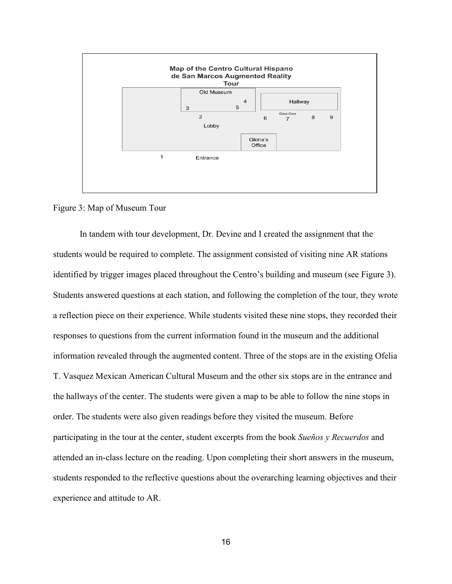

Figure 3: Map of Museum Tour

In tandem with tour development, Dr. Devine and I created the assignment that the students would be required to complete. The assignment consisted of visiting nine AR stations identified by trigger images placed throughout the Centro's building and museum (see Figure 3). Students answered questions at each station, and following the completion of the tour, they wrote a reflection piece on their experience. While students visited these nine stops, they recorded their responses to questions from the current information found in the museum and the additional information revealed through the augmented content. Three of the stops are in the existing Ofelia T. Vasquez Mexican American Cultural Museum and the other six stops are in the entrance and the hallways of the center. The students were given a map to be able to follow the nine stops in order. The students were also given readings before they visited the museum. Before participating in the tour at the center, student excerpts from the book *Sueños y Recuerdos* and attended an in-class lecture on the reading. Upon completing their short answers in the museum, students responded to the reflective questions about the overarching learning objectives and their experience and attitude to AR.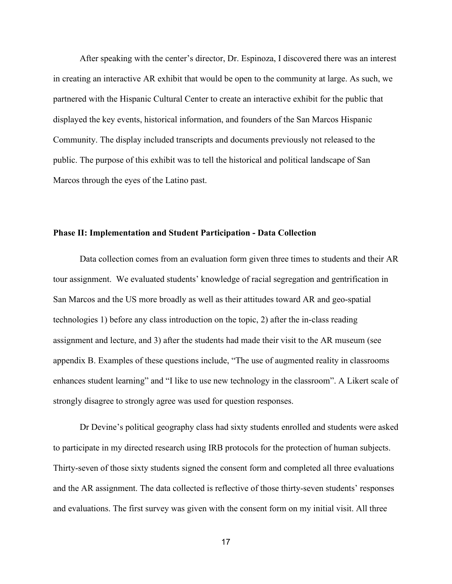After speaking with the center's director, Dr. Espinoza, I discovered there was an interest in creating an interactive AR exhibit that would be open to the community at large. As such, we partnered with the Hispanic Cultural Center to create an interactive exhibit for the public that displayed the key events, historical information, and founders of the San Marcos Hispanic Community. The display included transcripts and documents previously not released to the public. The purpose of this exhibit was to tell the historical and political landscape of San Marcos through the eyes of the Latino past.

#### **Phase II: Implementation and Student Participation - Data Collection**

Data collection comes from an evaluation form given three times to students and their AR tour assignment. We evaluated students' knowledge of racial segregation and gentrification in San Marcos and the US more broadly as well as their attitudes toward AR and geo-spatial technologies 1) before any class introduction on the topic, 2) after the in-class reading assignment and lecture, and 3) after the students had made their visit to the AR museum (see appendix B. Examples of these questions include, "The use of augmented reality in classrooms enhances student learning" and "I like to use new technology in the classroom". A Likert scale of strongly disagree to strongly agree was used for question responses.

Dr Devine's political geography class had sixty students enrolled and students were asked to participate in my directed research using IRB protocols for the protection of human subjects. Thirty-seven of those sixty students signed the consent form and completed all three evaluations and the AR assignment. The data collected is reflective of those thirty-seven students' responses and evaluations. The first survey was given with the consent form on my initial visit. All three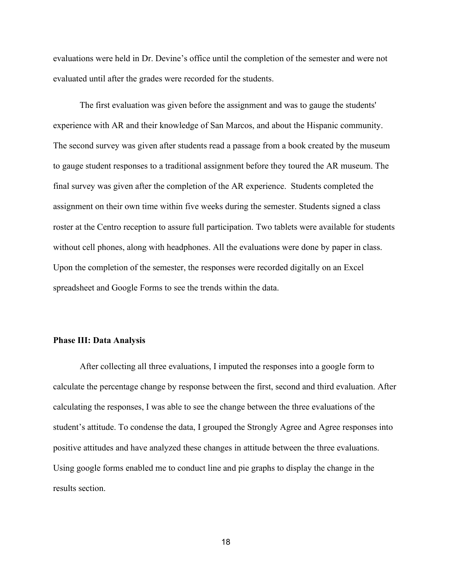evaluations were held in Dr. Devine's office until the completion of the semester and were not evaluated until after the grades were recorded for the students.

The first evaluation was given before the assignment and was to gauge the students' experience with AR and their knowledge of San Marcos, and about the Hispanic community. The second survey was given after students read a passage from a book created by the museum to gauge student responses to a traditional assignment before they toured the AR museum. The final survey was given after the completion of the AR experience. Students completed the assignment on their own time within five weeks during the semester. Students signed a class roster at the Centro reception to assure full participation. Two tablets were available for students without cell phones, along with headphones. All the evaluations were done by paper in class. Upon the completion of the semester, the responses were recorded digitally on an Excel spreadsheet and Google Forms to see the trends within the data.

#### **Phase III: Data Analysis**

After collecting all three evaluations, I imputed the responses into a google form to calculate the percentage change by response between the first, second and third evaluation. After calculating the responses, I was able to see the change between the three evaluations of the student's attitude. To condense the data, I grouped the Strongly Agree and Agree responses into positive attitudes and have analyzed these changes in attitude between the three evaluations. Using google forms enabled me to conduct line and pie graphs to display the change in the results section.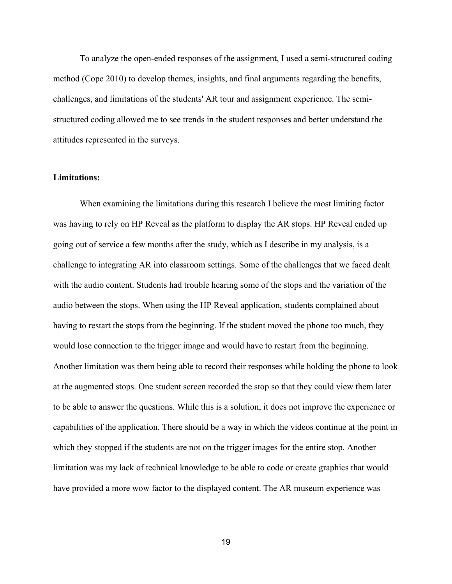To analyze the open-ended responses of the assignment, I used a semi-structured coding method (Cope 2010) to develop themes, insights, and final arguments regarding the benefits, challenges, and limitations of the students' AR tour and assignment experience. The semistructured coding allowed me to see trends in the student responses and better understand the attitudes represented in the surveys.

#### **Limitations:**

When examining the limitations during this research I believe the most limiting factor was having to rely on HP Reveal as the platform to display the AR stops. HP Reveal ended up going out of service a few months after the study, which as I describe in my analysis, is a challenge to integrating AR into classroom settings. Some of the challenges that we faced dealt with the audio content. Students had trouble hearing some of the stops and the variation of the audio between the stops. When using the HP Reveal application, students complained about having to restart the stops from the beginning. If the student moved the phone too much, they would lose connection to the trigger image and would have to restart from the beginning. Another limitation was them being able to record their responses while holding the phone to look at the augmented stops. One student screen recorded the stop so that they could view them later to be able to answer the questions. While this is a solution, it does not improve the experience or capabilities of the application. There should be a way in which the videos continue at the point in which they stopped if the students are not on the trigger images for the entire stop. Another limitation was my lack of technical knowledge to be able to code or create graphics that would have provided a more wow factor to the displayed content. The AR museum experience was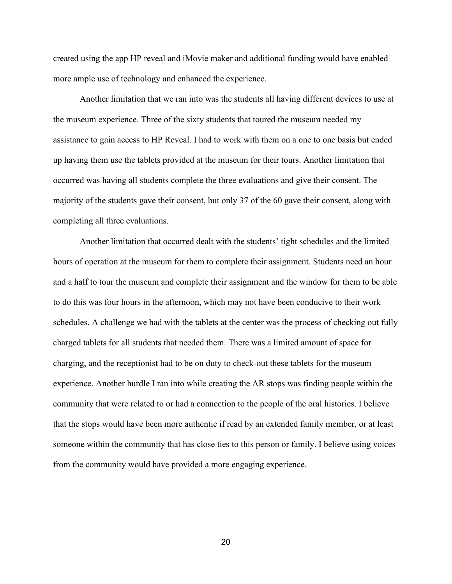created using the app HP reveal and iMovie maker and additional funding would have enabled more ample use of technology and enhanced the experience.

Another limitation that we ran into was the students all having different devices to use at the museum experience. Three of the sixty students that toured the museum needed my assistance to gain access to HP Reveal. I had to work with them on a one to one basis but ended up having them use the tablets provided at the museum for their tours. Another limitation that occurred was having all students complete the three evaluations and give their consent. The majority of the students gave their consent, but only 37 of the 60 gave their consent, along with completing all three evaluations.

Another limitation that occurred dealt with the students' tight schedules and the limited hours of operation at the museum for them to complete their assignment. Students need an hour and a half to tour the museum and complete their assignment and the window for them to be able to do this was four hours in the afternoon, which may not have been conducive to their work schedules. A challenge we had with the tablets at the center was the process of checking out fully charged tablets for all students that needed them. There was a limited amount of space for charging, and the receptionist had to be on duty to check-out these tablets for the museum experience. Another hurdle I ran into while creating the AR stops was finding people within the community that were related to or had a connection to the people of the oral histories. I believe that the stops would have been more authentic if read by an extended family member, or at least someone within the community that has close ties to this person or family. I believe using voices from the community would have provided a more engaging experience.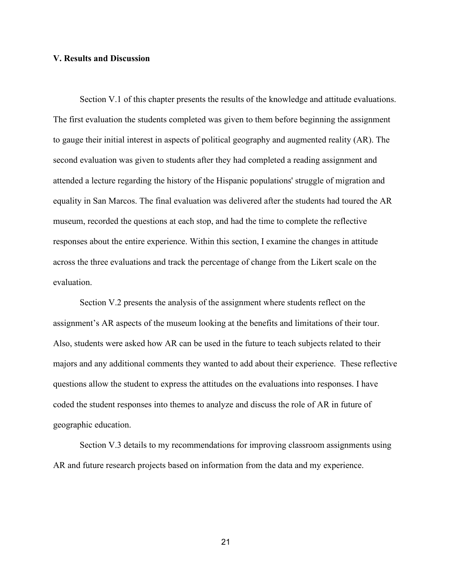#### **V. Results and Discussion**

Section V.1 of this chapter presents the results of the knowledge and attitude evaluations. The first evaluation the students completed was given to them before beginning the assignment to gauge their initial interest in aspects of political geography and augmented reality (AR). The second evaluation was given to students after they had completed a reading assignment and attended a lecture regarding the history of the Hispanic populations' struggle of migration and equality in San Marcos. The final evaluation was delivered after the students had toured the AR museum, recorded the questions at each stop, and had the time to complete the reflective responses about the entire experience. Within this section, I examine the changes in attitude across the three evaluations and track the percentage of change from the Likert scale on the evaluation.

Section V.2 presents the analysis of the assignment where students reflect on the assignment's AR aspects of the museum looking at the benefits and limitations of their tour. Also, students were asked how AR can be used in the future to teach subjects related to their majors and any additional comments they wanted to add about their experience. These reflective questions allow the student to express the attitudes on the evaluations into responses. I have coded the student responses into themes to analyze and discuss the role of AR in future of geographic education.

Section V.3 details to my recommendations for improving classroom assignments using AR and future research projects based on information from the data and my experience.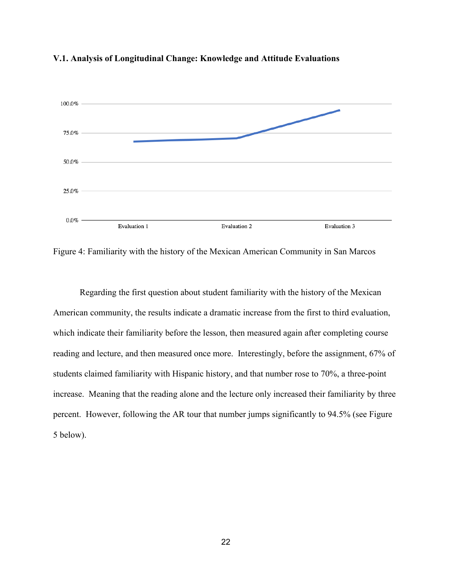

#### **V.1. Analysis of Longitudinal Change: Knowledge and Attitude Evaluations**

Figure 4: Familiarity with the history of the Mexican American Community in San Marcos

Regarding the first question about student familiarity with the history of the Mexican American community, the results indicate a dramatic increase from the first to third evaluation, which indicate their familiarity before the lesson, then measured again after completing course reading and lecture, and then measured once more. Interestingly, before the assignment, 67% of students claimed familiarity with Hispanic history, and that number rose to 70%, a three-point increase. Meaning that the reading alone and the lecture only increased their familiarity by three percent. However, following the AR tour that number jumps significantly to 94.5% (see Figure 5 below).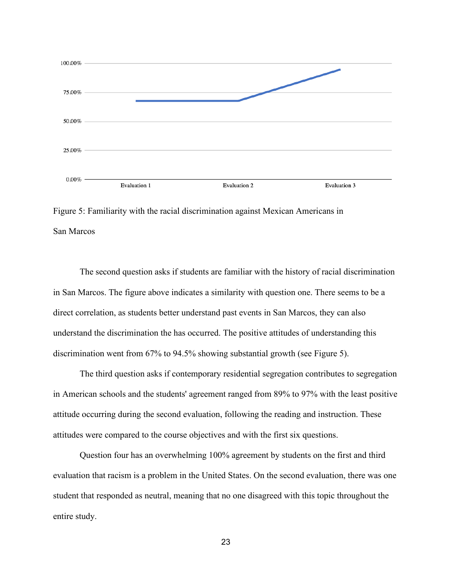

Figure 5: Familiarity with the racial discrimination against Mexican Americans in San Marcos

The second question asks if students are familiar with the history of racial discrimination in San Marcos. The figure above indicates a similarity with question one. There seems to be a direct correlation, as students better understand past events in San Marcos, they can also understand the discrimination the has occurred. The positive attitudes of understanding this discrimination went from 67% to 94.5% showing substantial growth (see Figure 5).

The third question asks if contemporary residential segregation contributes to segregation in American schools and the students' agreement ranged from 89% to 97% with the least positive attitude occurring during the second evaluation, following the reading and instruction. These attitudes were compared to the course objectives and with the first six questions.

Question four has an overwhelming 100% agreement by students on the first and third evaluation that racism is a problem in the United States. On the second evaluation, there was one student that responded as neutral, meaning that no one disagreed with this topic throughout the entire study.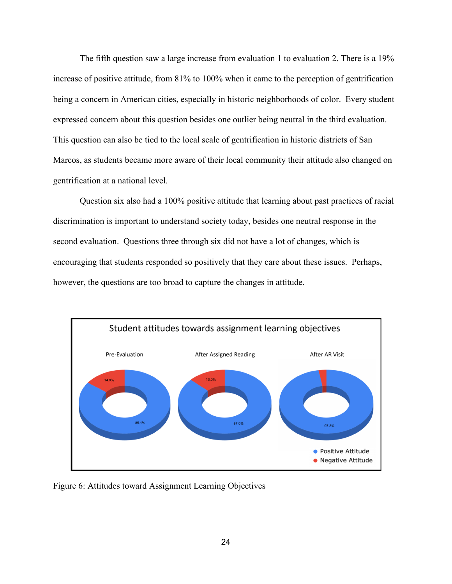The fifth question saw a large increase from evaluation 1 to evaluation 2. There is a 19% increase of positive attitude, from 81% to 100% when it came to the perception of gentrification being a concern in American cities, especially in historic neighborhoods of color. Every student expressed concern about this question besides one outlier being neutral in the third evaluation. This question can also be tied to the local scale of gentrification in historic districts of San Marcos, as students became more aware of their local community their attitude also changed on gentrification at a national level.

Question six also had a 100% positive attitude that learning about past practices of racial discrimination is important to understand society today, besides one neutral response in the second evaluation. Questions three through six did not have a lot of changes, which is encouraging that students responded so positively that they care about these issues. Perhaps, however, the questions are too broad to capture the changes in attitude.



Figure 6: Attitudes toward Assignment Learning Objectives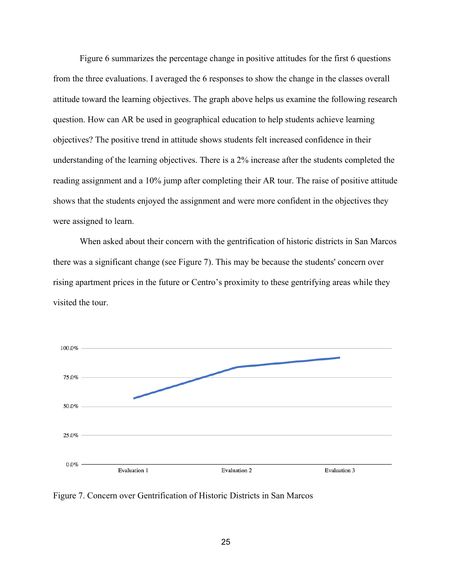Figure 6 summarizes the percentage change in positive attitudes for the first 6 questions from the three evaluations. I averaged the 6 responses to show the change in the classes overall attitude toward the learning objectives. The graph above helps us examine the following research question. How can AR be used in geographical education to help students achieve learning objectives? The positive trend in attitude shows students felt increased confidence in their understanding of the learning objectives. There is a 2% increase after the students completed the reading assignment and a 10% jump after completing their AR tour. The raise of positive attitude shows that the students enjoyed the assignment and were more confident in the objectives they were assigned to learn.

When asked about their concern with the gentrification of historic districts in San Marcos there was a significant change (see Figure 7). This may be because the students' concern over rising apartment prices in the future or Centro's proximity to these gentrifying areas while they visited the tour.



Figure 7. Concern over Gentrification of Historic Districts in San Marcos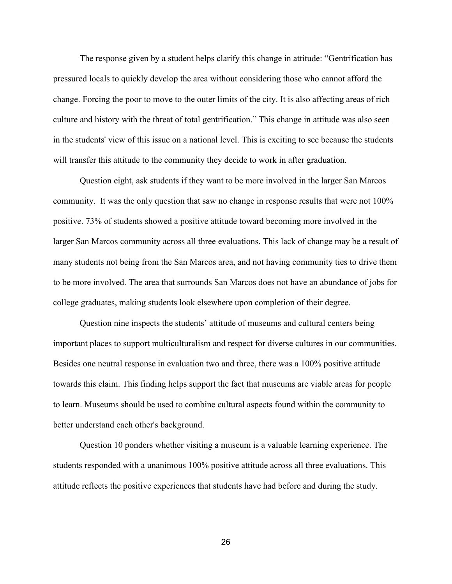The response given by a student helps clarify this change in attitude: "Gentrification has pressured locals to quickly develop the area without considering those who cannot afford the change. Forcing the poor to move to the outer limits of the city. It is also affecting areas of rich culture and history with the threat of total gentrification." This change in attitude was also seen in the students' view of this issue on a national level. This is exciting to see because the students will transfer this attitude to the community they decide to work in after graduation.

Question eight, ask students if they want to be more involved in the larger San Marcos community. It was the only question that saw no change in response results that were not 100% positive. 73% of students showed a positive attitude toward becoming more involved in the larger San Marcos community across all three evaluations. This lack of change may be a result of many students not being from the San Marcos area, and not having community ties to drive them to be more involved. The area that surrounds San Marcos does not have an abundance of jobs for college graduates, making students look elsewhere upon completion of their degree.

Question nine inspects the students' attitude of museums and cultural centers being important places to support multiculturalism and respect for diverse cultures in our communities. Besides one neutral response in evaluation two and three, there was a 100% positive attitude towards this claim. This finding helps support the fact that museums are viable areas for people to learn. Museums should be used to combine cultural aspects found within the community to better understand each other's background.

Question 10 ponders whether visiting a museum is a valuable learning experience. The students responded with a unanimous 100% positive attitude across all three evaluations. This attitude reflects the positive experiences that students have had before and during the study.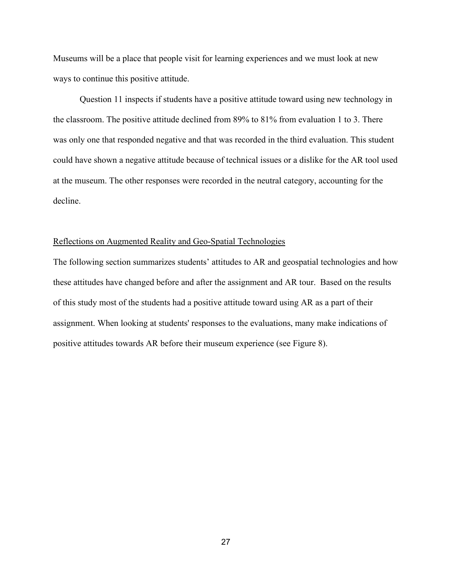Museums will be a place that people visit for learning experiences and we must look at new ways to continue this positive attitude.

Question 11 inspects if students have a positive attitude toward using new technology in the classroom. The positive attitude declined from 89% to 81% from evaluation 1 to 3. There was only one that responded negative and that was recorded in the third evaluation. This student could have shown a negative attitude because of technical issues or a dislike for the AR tool used at the museum. The other responses were recorded in the neutral category, accounting for the decline.

#### Reflections on Augmented Reality and Geo-Spatial Technologies

The following section summarizes students' attitudes to AR and geospatial technologies and how these attitudes have changed before and after the assignment and AR tour. Based on the results of this study most of the students had a positive attitude toward using AR as a part of their assignment. When looking at students' responses to the evaluations, many make indications of positive attitudes towards AR before their museum experience (see Figure 8).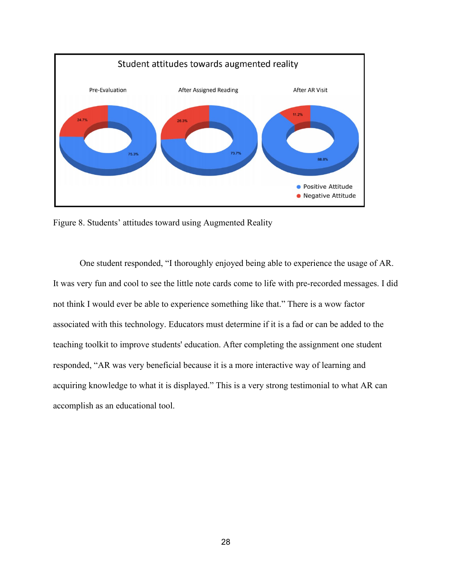

Figure 8. Students' attitudes toward using Augmented Reality

One student responded, "I thoroughly enjoyed being able to experience the usage of AR. It was very fun and cool to see the little note cards come to life with pre-recorded messages. I did not think I would ever be able to experience something like that." There is a wow factor associated with this technology. Educators must determine if it is a fad or can be added to the teaching toolkit to improve students' education. After completing the assignment one student responded, "AR was very beneficial because it is a more interactive way of learning and acquiring knowledge to what it is displayed." This is a very strong testimonial to what AR can accomplish as an educational tool.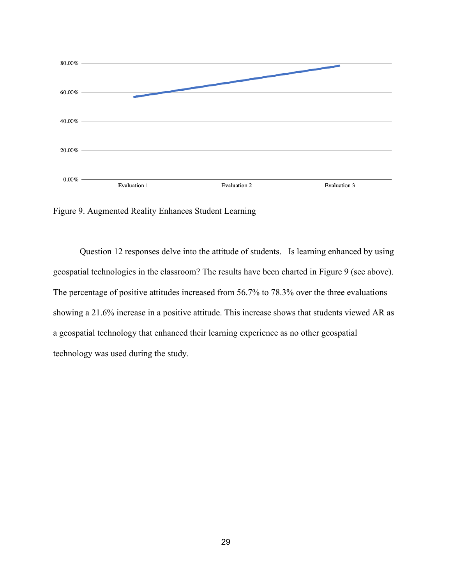

Figure 9. Augmented Reality Enhances Student Learning

Question 12 responses delve into the attitude of students. Is learning enhanced by using geospatial technologies in the classroom? The results have been charted in Figure 9 (see above). The percentage of positive attitudes increased from 56.7% to 78.3% over the three evaluations showing a 21.6% increase in a positive attitude. This increase shows that students viewed AR as a geospatial technology that enhanced their learning experience as no other geospatial technology was used during the study.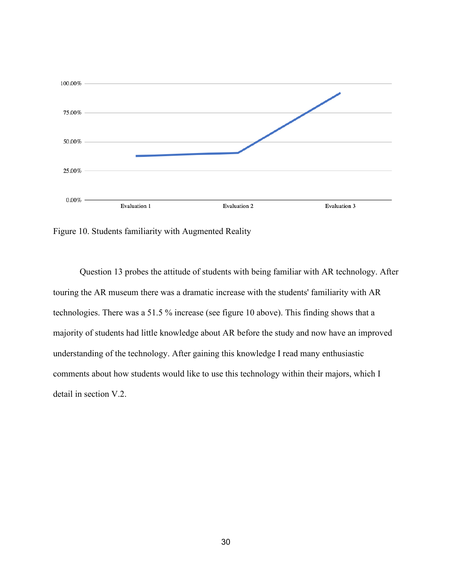

Figure 10. Students familiarity with Augmented Reality

Question 13 probes the attitude of students with being familiar with AR technology. After touring the AR museum there was a dramatic increase with the students' familiarity with AR technologies. There was a 51.5 % increase (see figure 10 above). This finding shows that a majority of students had little knowledge about AR before the study and now have an improved understanding of the technology. After gaining this knowledge I read many enthusiastic comments about how students would like to use this technology within their majors, which I detail in section V.2.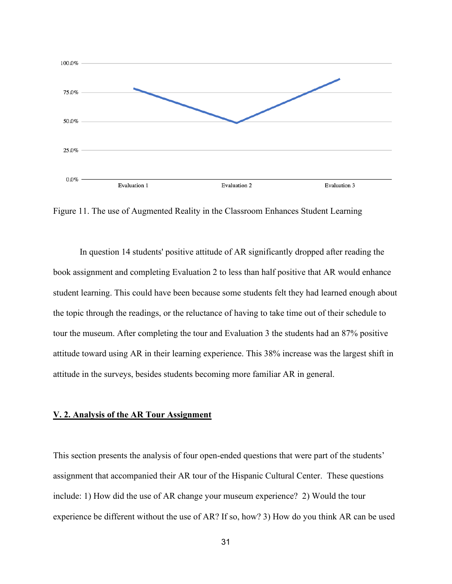

Figure 11. The use of Augmented Reality in the Classroom Enhances Student Learning

In question 14 students' positive attitude of AR significantly dropped after reading the book assignment and completing Evaluation 2 to less than half positive that AR would enhance student learning. This could have been because some students felt they had learned enough about the topic through the readings, or the reluctance of having to take time out of their schedule to tour the museum. After completing the tour and Evaluation 3 the students had an 87% positive attitude toward using AR in their learning experience. This 38% increase was the largest shift in attitude in the surveys, besides students becoming more familiar AR in general.

#### **V. 2. Analysis of the AR Tour Assignment**

This section presents the analysis of four open-ended questions that were part of the students' assignment that accompanied their AR tour of the Hispanic Cultural Center. These questions include: 1) How did the use of AR change your museum experience? 2) Would the tour experience be different without the use of AR? If so, how? 3) How do you think AR can be used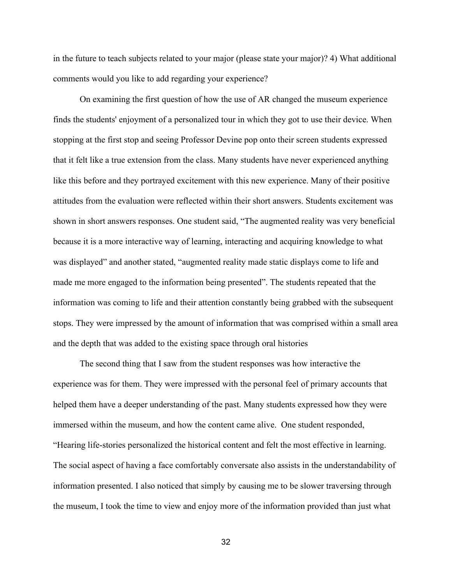in the future to teach subjects related to your major (please state your major)? 4) What additional comments would you like to add regarding your experience?

On examining the first question of how the use of AR changed the museum experience finds the students' enjoyment of a personalized tour in which they got to use their device. When stopping at the first stop and seeing Professor Devine pop onto their screen students expressed that it felt like a true extension from the class. Many students have never experienced anything like this before and they portrayed excitement with this new experience. Many of their positive attitudes from the evaluation were reflected within their short answers. Students excitement was shown in short answers responses. One student said, "The augmented reality was very beneficial because it is a more interactive way of learning, interacting and acquiring knowledge to what was displayed" and another stated, "augmented reality made static displays come to life and made me more engaged to the information being presented". The students repeated that the information was coming to life and their attention constantly being grabbed with the subsequent stops. They were impressed by the amount of information that was comprised within a small area and the depth that was added to the existing space through oral histories

The second thing that I saw from the student responses was how interactive the experience was for them. They were impressed with the personal feel of primary accounts that helped them have a deeper understanding of the past. Many students expressed how they were immersed within the museum, and how the content came alive. One student responded, "Hearing life-stories personalized the historical content and felt the most effective in learning. The social aspect of having a face comfortably conversate also assists in the understandability of information presented. I also noticed that simply by causing me to be slower traversing through the museum, I took the time to view and enjoy more of the information provided than just what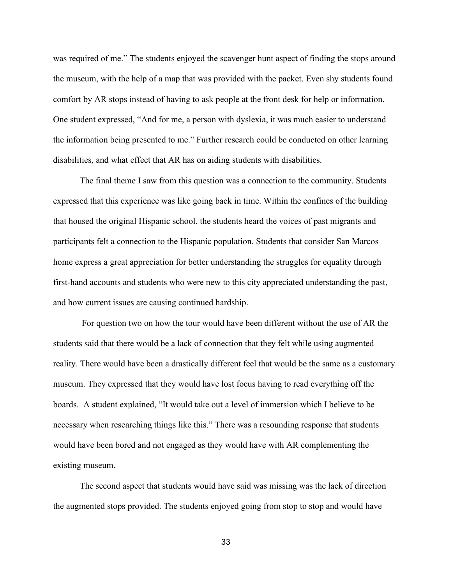was required of me." The students enjoyed the scavenger hunt aspect of finding the stops around the museum, with the help of a map that was provided with the packet. Even shy students found comfort by AR stops instead of having to ask people at the front desk for help or information. One student expressed, "And for me, a person with dyslexia, it was much easier to understand the information being presented to me." Further research could be conducted on other learning disabilities, and what effect that AR has on aiding students with disabilities.

The final theme I saw from this question was a connection to the community. Students expressed that this experience was like going back in time. Within the confines of the building that housed the original Hispanic school, the students heard the voices of past migrants and participants felt a connection to the Hispanic population. Students that consider San Marcos home express a great appreciation for better understanding the struggles for equality through first-hand accounts and students who were new to this city appreciated understanding the past, and how current issues are causing continued hardship.

For question two on how the tour would have been different without the use of AR the students said that there would be a lack of connection that they felt while using augmented reality. There would have been a drastically different feel that would be the same as a customary museum. They expressed that they would have lost focus having to read everything off the boards. A student explained, "It would take out a level of immersion which I believe to be necessary when researching things like this." There was a resounding response that students would have been bored and not engaged as they would have with AR complementing the existing museum.

The second aspect that students would have said was missing was the lack of direction the augmented stops provided. The students enjoyed going from stop to stop and would have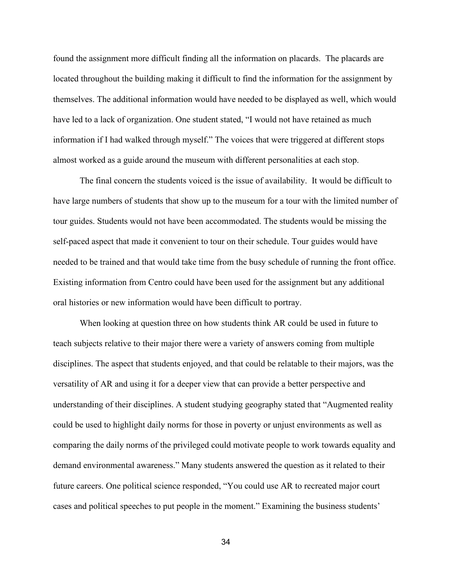found the assignment more difficult finding all the information on placards. The placards are located throughout the building making it difficult to find the information for the assignment by themselves. The additional information would have needed to be displayed as well, which would have led to a lack of organization. One student stated, "I would not have retained as much information if I had walked through myself." The voices that were triggered at different stops almost worked as a guide around the museum with different personalities at each stop.

The final concern the students voiced is the issue of availability. It would be difficult to have large numbers of students that show up to the museum for a tour with the limited number of tour guides. Students would not have been accommodated. The students would be missing the self-paced aspect that made it convenient to tour on their schedule. Tour guides would have needed to be trained and that would take time from the busy schedule of running the front office. Existing information from Centro could have been used for the assignment but any additional oral histories or new information would have been difficult to portray.

When looking at question three on how students think AR could be used in future to teach subjects relative to their major there were a variety of answers coming from multiple disciplines. The aspect that students enjoyed, and that could be relatable to their majors, was the versatility of AR and using it for a deeper view that can provide a better perspective and understanding of their disciplines. A student studying geography stated that "Augmented reality could be used to highlight daily norms for those in poverty or unjust environments as well as comparing the daily norms of the privileged could motivate people to work towards equality and demand environmental awareness." Many students answered the question as it related to their future careers. One political science responded, "You could use AR to recreated major court cases and political speeches to put people in the moment." Examining the business students'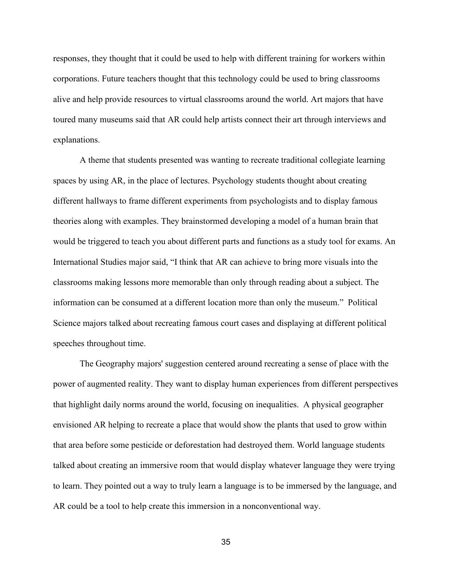responses, they thought that it could be used to help with different training for workers within corporations. Future teachers thought that this technology could be used to bring classrooms alive and help provide resources to virtual classrooms around the world. Art majors that have toured many museums said that AR could help artists connect their art through interviews and explanations.

A theme that students presented was wanting to recreate traditional collegiate learning spaces by using AR, in the place of lectures. Psychology students thought about creating different hallways to frame different experiments from psychologists and to display famous theories along with examples. They brainstormed developing a model of a human brain that would be triggered to teach you about different parts and functions as a study tool for exams. An International Studies major said, "I think that AR can achieve to bring more visuals into the classrooms making lessons more memorable than only through reading about a subject. The information can be consumed at a different location more than only the museum." Political Science majors talked about recreating famous court cases and displaying at different political speeches throughout time.

The Geography majors' suggestion centered around recreating a sense of place with the power of augmented reality. They want to display human experiences from different perspectives that highlight daily norms around the world, focusing on inequalities. A physical geographer envisioned AR helping to recreate a place that would show the plants that used to grow within that area before some pesticide or deforestation had destroyed them. World language students talked about creating an immersive room that would display whatever language they were trying to learn. They pointed out a way to truly learn a language is to be immersed by the language, and AR could be a tool to help create this immersion in a nonconventional way.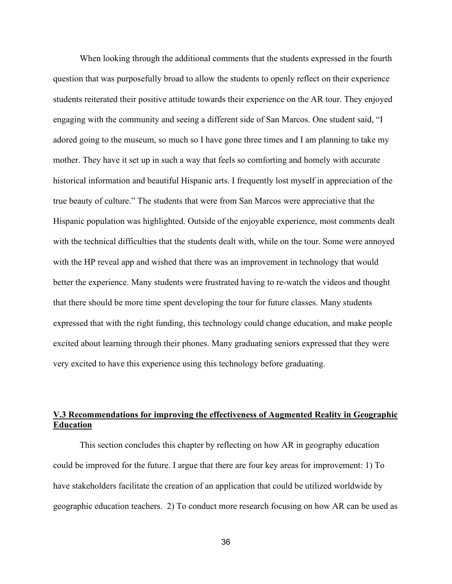When looking through the additional comments that the students expressed in the fourth question that was purposefully broad to allow the students to openly reflect on their experience students reiterated their positive attitude towards their experience on the AR tour. They enjoyed engaging with the community and seeing a different side of San Marcos. One student said, "I adored going to the museum, so much so I have gone three times and I am planning to take my mother. They have it set up in such a way that feels so comforting and homely with accurate historical information and beautiful Hispanic arts. I frequently lost myself in appreciation of the true beauty of culture." The students that were from San Marcos were appreciative that the Hispanic population was highlighted. Outside of the enjoyable experience, most comments dealt with the technical difficulties that the students dealt with, while on the tour. Some were annoyed with the HP reveal app and wished that there was an improvement in technology that would better the experience. Many students were frustrated having to re-watch the videos and thought that there should be more time spent developing the tour for future classes. Many students expressed that with the right funding, this technology could change education, and make people excited about learning through their phones. Many graduating seniors expressed that they were very excited to have this experience using this technology before graduating.

# **V.3 Recommendations for improving the effectiveness of Augmented Reality in Geographic Education**

This section concludes this chapter by reflecting on how AR in geography education could be improved for the future. I argue that there are four key areas for improvement: 1) To have stakeholders facilitate the creation of an application that could be utilized worldwide by geographic education teachers. 2) To conduct more research focusing on how AR can be used as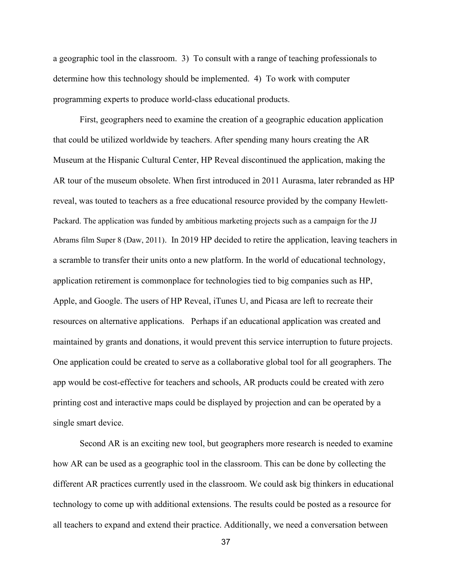a geographic tool in the classroom. 3) To consult with a range of teaching professionals to determine how this technology should be implemented. 4) To work with computer programming experts to produce world-class educational products.

First, geographers need to examine the creation of a geographic education application that could be utilized worldwide by teachers. After spending many hours creating the AR Museum at the Hispanic Cultural Center, HP Reveal discontinued the application, making the AR tour of the museum obsolete. When first introduced in 2011 Aurasma, later rebranded as HP reveal, was touted to teachers as a free educational resource provided by the company Hewlett-Packard. The application was funded by ambitious marketing projects such as a campaign for the JJ Abrams film Super 8 (Daw, 2011). In 2019 HP decided to retire the application, leaving teachers in a scramble to transfer their units onto a new platform. In the world of educational technology, application retirement is commonplace for technologies tied to big companies such as HP, Apple, and Google. The users of HP Reveal, iTunes U, and Picasa are left to recreate their resources on alternative applications. Perhaps if an educational application was created and maintained by grants and donations, it would prevent this service interruption to future projects. One application could be created to serve as a collaborative global tool for all geographers. The app would be cost-effective for teachers and schools, AR products could be created with zero printing cost and interactive maps could be displayed by projection and can be operated by a single smart device.

Second AR is an exciting new tool, but geographers more research is needed to examine how AR can be used as a geographic tool in the classroom. This can be done by collecting the different AR practices currently used in the classroom. We could ask big thinkers in educational technology to come up with additional extensions. The results could be posted as a resource for all teachers to expand and extend their practice. Additionally, we need a conversation between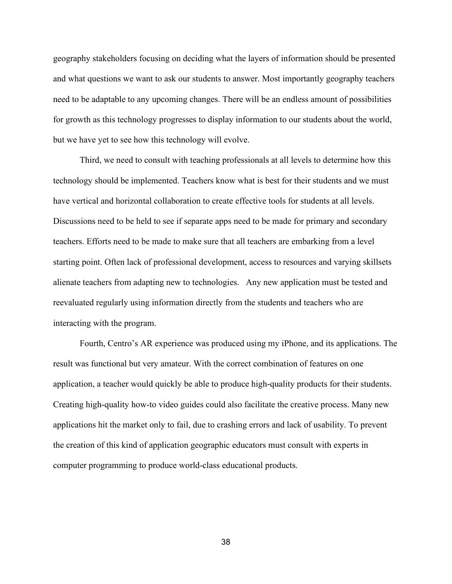geography stakeholders focusing on deciding what the layers of information should be presented and what questions we want to ask our students to answer. Most importantly geography teachers need to be adaptable to any upcoming changes. There will be an endless amount of possibilities for growth as this technology progresses to display information to our students about the world, but we have yet to see how this technology will evolve.

Third, we need to consult with teaching professionals at all levels to determine how this technology should be implemented. Teachers know what is best for their students and we must have vertical and horizontal collaboration to create effective tools for students at all levels. Discussions need to be held to see if separate apps need to be made for primary and secondary teachers. Efforts need to be made to make sure that all teachers are embarking from a level starting point. Often lack of professional development, access to resources and varying skillsets alienate teachers from adapting new to technologies. Any new application must be tested and reevaluated regularly using information directly from the students and teachers who are interacting with the program.

Fourth, Centro's AR experience was produced using my iPhone, and its applications. The result was functional but very amateur. With the correct combination of features on one application, a teacher would quickly be able to produce high-quality products for their students. Creating high-quality how-to video guides could also facilitate the creative process. Many new applications hit the market only to fail, due to crashing errors and lack of usability. To prevent the creation of this kind of application geographic educators must consult with experts in computer programming to produce world-class educational products.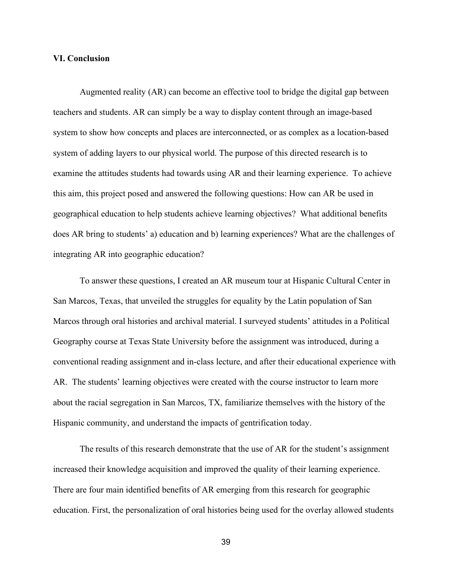#### **VI. Conclusion**

Augmented reality (AR) can become an effective tool to bridge the digital gap between teachers and students. AR can simply be a way to display content through an image-based system to show how concepts and places are interconnected, or as complex as a location-based system of adding layers to our physical world. The purpose of this directed research is to examine the attitudes students had towards using AR and their learning experience. To achieve this aim, this project posed and answered the following questions: How can AR be used in geographical education to help students achieve learning objectives? What additional benefits does AR bring to students' a) education and b) learning experiences? What are the challenges of integrating AR into geographic education?

To answer these questions, I created an AR museum tour at Hispanic Cultural Center in San Marcos, Texas, that unveiled the struggles for equality by the Latin population of San Marcos through oral histories and archival material. I surveyed students' attitudes in a Political Geography course at Texas State University before the assignment was introduced, during a conventional reading assignment and in-class lecture, and after their educational experience with AR. The students' learning objectives were created with the course instructor to learn more about the racial segregation in San Marcos, TX, familiarize themselves with the history of the Hispanic community, and understand the impacts of gentrification today.

The results of this research demonstrate that the use of AR for the student's assignment increased their knowledge acquisition and improved the quality of their learning experience. There are four main identified benefits of AR emerging from this research for geographic education. First, the personalization of oral histories being used for the overlay allowed students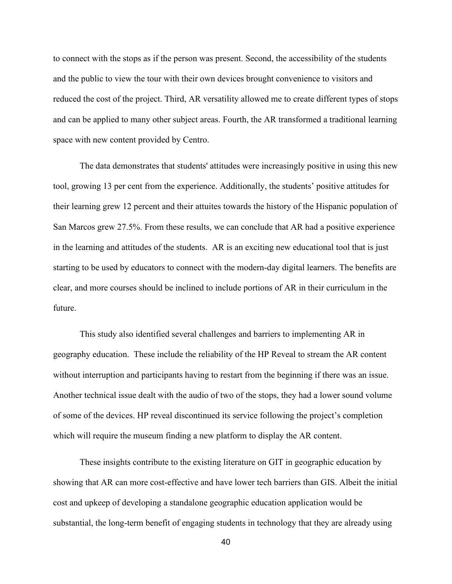to connect with the stops as if the person was present. Second, the accessibility of the students and the public to view the tour with their own devices brought convenience to visitors and reduced the cost of the project. Third, AR versatility allowed me to create different types of stops and can be applied to many other subject areas. Fourth, the AR transformed a traditional learning space with new content provided by Centro.

The data demonstrates that students' attitudes were increasingly positive in using this new tool, growing 13 per cent from the experience. Additionally, the students' positive attitudes for their learning grew 12 percent and their attuites towards the history of the Hispanic population of San Marcos grew 27.5%. From these results, we can conclude that AR had a positive experience in the learning and attitudes of the students. AR is an exciting new educational tool that is just starting to be used by educators to connect with the modern-day digital learners. The benefits are clear, and more courses should be inclined to include portions of AR in their curriculum in the future.

This study also identified several challenges and barriers to implementing AR in geography education. These include the reliability of the HP Reveal to stream the AR content without interruption and participants having to restart from the beginning if there was an issue. Another technical issue dealt with the audio of two of the stops, they had a lower sound volume of some of the devices. HP reveal discontinued its service following the project's completion which will require the museum finding a new platform to display the AR content.

These insights contribute to the existing literature on GIT in geographic education by showing that AR can more cost-effective and have lower tech barriers than GIS. Albeit the initial cost and upkeep of developing a standalone geographic education application would be substantial, the long-term benefit of engaging students in technology that they are already using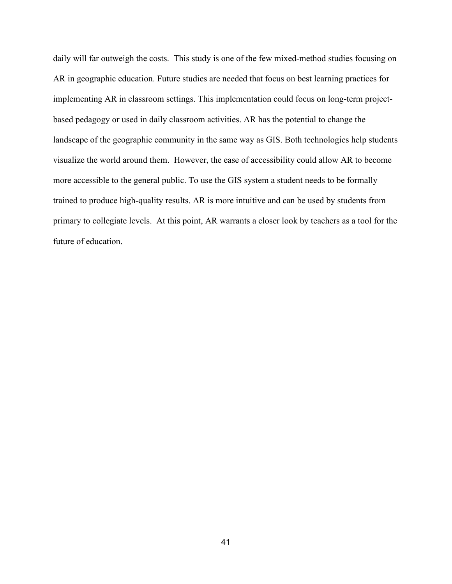daily will far outweigh the costs. This study is one of the few mixed-method studies focusing on AR in geographic education. Future studies are needed that focus on best learning practices for implementing AR in classroom settings. This implementation could focus on long-term projectbased pedagogy or used in daily classroom activities. AR has the potential to change the landscape of the geographic community in the same way as GIS. Both technologies help students visualize the world around them. However, the ease of accessibility could allow AR to become more accessible to the general public. To use the GIS system a student needs to be formally trained to produce high-quality results. AR is more intuitive and can be used by students from primary to collegiate levels. At this point, AR warrants a closer look by teachers as a tool for the future of education.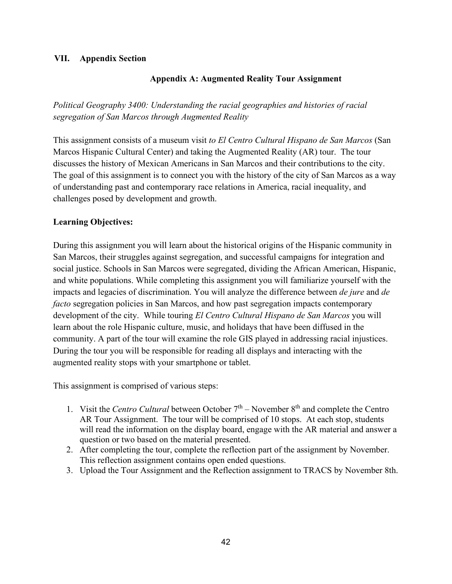# **VII. Appendix Section**

# **Appendix A: Augmented Reality Tour Assignment**

*Political Geography 3400: Understanding the racial geographies and histories of racial segregation of San Marcos through Augmented Reality* 

This assignment consists of a museum visit *to El Centro Cultural Hispano de San Marcos* (San Marcos Hispanic Cultural Center) and taking the Augmented Reality (AR) tour. The tour discusses the history of Mexican Americans in San Marcos and their contributions to the city. The goal of this assignment is to connect you with the history of the city of San Marcos as a way of understanding past and contemporary race relations in America, racial inequality, and challenges posed by development and growth.

# **Learning Objectives:**

During this assignment you will learn about the historical origins of the Hispanic community in San Marcos, their struggles against segregation, and successful campaigns for integration and social justice. Schools in San Marcos were segregated, dividing the African American, Hispanic, and white populations. While completing this assignment you will familiarize yourself with the impacts and legacies of discrimination. You will analyze the difference between *de jure* and *de facto* segregation policies in San Marcos, and how past segregation impacts contemporary development of the city. While touring *El Centro Cultural Hispano de San Marcos* you will learn about the role Hispanic culture, music, and holidays that have been diffused in the community. A part of the tour will examine the role GIS played in addressing racial injustices. During the tour you will be responsible for reading all displays and interacting with the augmented reality stops with your smartphone or tablet.

This assignment is comprised of various steps:

- 1. Visit the *Centro Cultural* between October  $7<sup>th</sup>$  November  $8<sup>th</sup>$  and complete the Centro AR Tour Assignment. The tour will be comprised of 10 stops. At each stop, students will read the information on the display board, engage with the AR material and answer a question or two based on the material presented.
- 2. After completing the tour, complete the reflection part of the assignment by November. This reflection assignment contains open ended questions.
- 3. Upload the Tour Assignment and the Reflection assignment to TRACS by November 8th.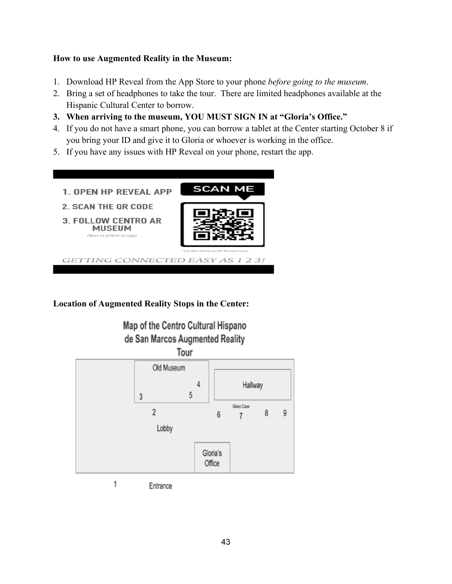# **How to use Augmented Reality in the Museum:**

- 1. Download HP Reveal from the App Store to your phone *before going to the museum*.
- 2. Bring a set of headphones to take the tour. There are limited headphones available at the Hispanic Cultural Center to borrow.
- **3. When arriving to the museum, YOU MUST SIGN IN at "Gloria's Office."**
- 4. If you do not have a smart phone, you can borrow a tablet at the Center starting October 8 if you bring your ID and give it to Gloria or whoever is working in the office.
- 5. If you have any issues with HP Reveal on your phone, restart the app.



**Location of Augmented Reality Stops in the Center:**





Entrance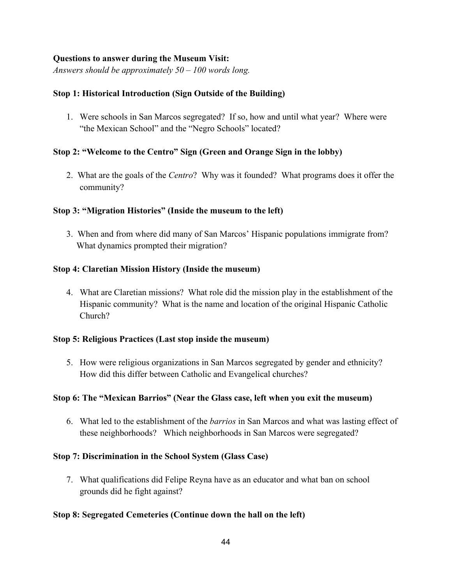# **Questions to answer during the Museum Visit:**

*Answers should be approximately 50 – 100 words long.*

# **Stop 1: Historical Introduction (Sign Outside of the Building)**

1. Were schools in San Marcos segregated? If so, how and until what year? Where were "the Mexican School" and the "Negro Schools" located?

# **Stop 2: "Welcome to the Centro" Sign (Green and Orange Sign in the lobby)**

2. What are the goals of the *Centro*? Why was it founded? What programs does it offer the community?

# **Stop 3: "Migration Histories" (Inside the museum to the left)**

3. When and from where did many of San Marcos' Hispanic populations immigrate from? What dynamics prompted their migration?

# **Stop 4: Claretian Mission History (Inside the museum)**

4. What are Claretian missions? What role did the mission play in the establishment of the Hispanic community? What is the name and location of the original Hispanic Catholic Church?

# **Stop 5: Religious Practices (Last stop inside the museum)**

5. How were religious organizations in San Marcos segregated by gender and ethnicity? How did this differ between Catholic and Evangelical churches?

# **Stop 6: The "Mexican Barrios" (Near the Glass case, left when you exit the museum)**

6. What led to the establishment of the *barrios* in San Marcos and what was lasting effect of these neighborhoods? Which neighborhoods in San Marcos were segregated?

# **Stop 7: Discrimination in the School System (Glass Case)**

7. What qualifications did Felipe Reyna have as an educator and what ban on school grounds did he fight against?

# **Stop 8: Segregated Cemeteries (Continue down the hall on the left)**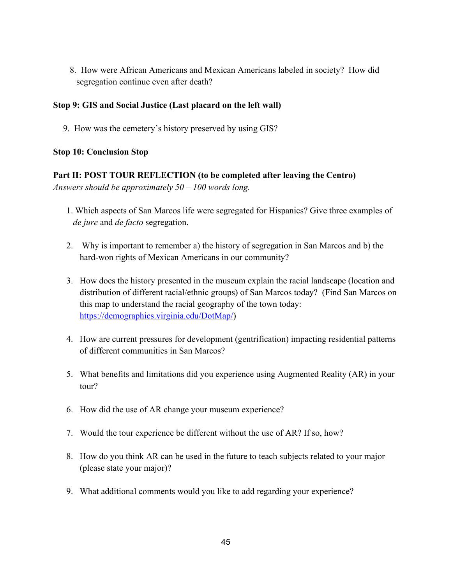8. How were African Americans and Mexican Americans labeled in society? How did segregation continue even after death?

# **Stop 9: GIS and Social Justice (Last placard on the left wall)**

9. How was the cemetery's history preserved by using GIS?

# **Stop 10: Conclusion Stop**

**Part II: POST TOUR REFLECTION (to be completed after leaving the Centro)** *Answers should be approximately 50 – 100 words long.*

- 1. Which aspects of San Marcos life were segregated for Hispanics? Give three examples of *de jure* and *de facto* segregation.
- 2. Why is important to remember a) the history of segregation in San Marcos and b) the hard-won rights of Mexican Americans in our community?
- 3. How does the history presented in the museum explain the racial landscape (location and distribution of different racial/ethnic groups) of San Marcos today? (Find San Marcos on this map to understand the racial geography of the town today: [https://demographics.virginia.edu/DotMap/\)](https://demographics.virginia.edu/DotMap/)
- 4. How are current pressures for development (gentrification) impacting residential patterns of different communities in San Marcos?
- 5. What benefits and limitations did you experience using Augmented Reality (AR) in your tour?
- 6. How did the use of AR change your museum experience?
- 7. Would the tour experience be different without the use of AR? If so, how?
- 8. How do you think AR can be used in the future to teach subjects related to your major (please state your major)?
- 9. What additional comments would you like to add regarding your experience?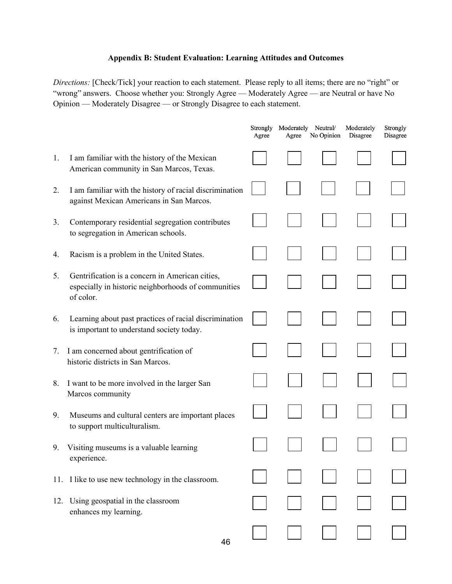# **Appendix B: Student Evaluation: Learning Attitudes and Outcomes**

*Directions:* [Check/Tick] your reaction to each statement. Please reply to all items; there are no "right" or "wrong" answers. Choose whether you: Strongly Agree — Moderately Agree — are Neutral or have No Opinion — Moderately Disagree — or Strongly Disagree to each statement.

|     |                                                                                                                     | Strongly<br>Agree | Moderately Neutral/<br>Agree | No Opinion | Moderately<br>Disagree | Strongly<br>Disagree |
|-----|---------------------------------------------------------------------------------------------------------------------|-------------------|------------------------------|------------|------------------------|----------------------|
| 1.  | I am familiar with the history of the Mexican<br>American community in San Marcos, Texas.                           |                   |                              |            |                        |                      |
| 2.  | I am familiar with the history of racial discrimination<br>against Mexican Americans in San Marcos.                 |                   |                              |            |                        |                      |
| 3.  | Contemporary residential segregation contributes<br>to segregation in American schools.                             |                   |                              |            |                        |                      |
| 4.  | Racism is a problem in the United States.                                                                           |                   |                              |            |                        |                      |
| 5.  | Gentrification is a concern in American cities,<br>especially in historic neighborhoods of communities<br>of color. |                   |                              |            |                        |                      |
| 6.  | Learning about past practices of racial discrimination<br>is important to understand society today.                 |                   |                              |            |                        |                      |
| 7.  | I am concerned about gentrification of<br>historic districts in San Marcos.                                         |                   |                              |            |                        |                      |
| 8.  | I want to be more involved in the larger San<br>Marcos community                                                    |                   |                              |            |                        |                      |
| 9.  | Museums and cultural centers are important places<br>to support multiculturalism.                                   |                   |                              |            |                        |                      |
| 9.  | Visiting museums is a valuable learning<br>experience.                                                              |                   |                              |            |                        |                      |
| 11. | I like to use new technology in the classroom.                                                                      |                   |                              |            |                        |                      |
| 12. | Using geospatial in the classroom<br>enhances my learning.                                                          |                   |                              |            |                        |                      |
|     | 46                                                                                                                  |                   |                              |            |                        |                      |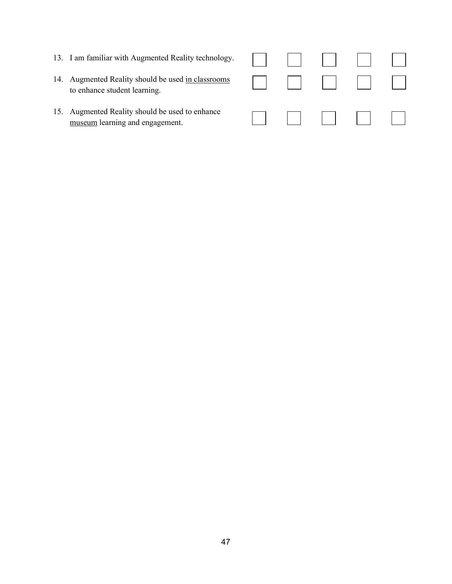- 13. I am familiar with Augmented Reality technology
- 14. Augmented Reality should be used in classroom to enhance student learning.
- 15. Augmented Reality should be used to enhance museum learning and engagement.

|  | $\log y$ .     |  |  |
|--|----------------|--|--|
|  | $\frac{ms}{s}$ |  |  |
|  |                |  |  |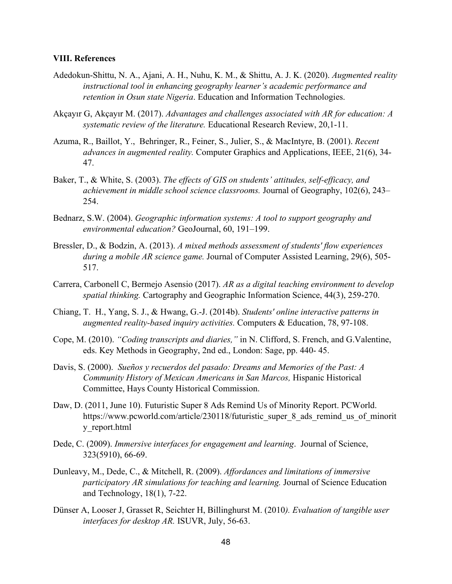#### **VIII. References**

- Adedokun-Shittu, N. A., Ajani, A. H., Nuhu, K. M., & Shittu, A. J. K. (2020). *Augmented reality instructional tool in enhancing geography learner's academic performance and retention in Osun state Nigeria*. Education and Information Technologies.
- Akçayır G, Akçayır M. (2017). *Advantages and challenges associated with AR for education: A systematic review of the literature.* Educational Research Review, 20,1-11.
- Azuma, R., Baillot, Y., Behringer, R., Feiner, S., Julier, S., & MacIntyre, B. (2001). *Recent advances in augmented reality.* Computer Graphics and Applications, IEEE, 21(6), 34- 47.
- Baker, T., & White, S. (2003). *The effects of GIS on students' attitudes, self-efficacy, and achievement in middle school science classrooms.* Journal of Geography, 102(6), 243– 254.
- Bednarz, S.W. (2004). *Geographic information systems: A tool to support geography and environmental education?* GeoJournal, 60, 191–199.
- Bressler, D., & Bodzin, A. (2013). *A mixed methods assessment of students' flow experiences during a mobile AR science game.* Journal of Computer Assisted Learning, 29(6), 505- 517.
- Carrera, Carbonell C, Bermejo Asensio (2017). *AR as a digital teaching environment to develop spatial thinking.* Cartography and Geographic Information Science, 44(3), 259-270.
- Chiang, T. H., Yang, S. J., & Hwang, G.-J. (2014b). *Students' online interactive patterns in augmented reality-based inquiry activities.* Computers & Education, 78, 97-108.
- Cope, M. (2010). *"Coding transcripts and diaries,"* in N. Clifford, S. French, and G.Valentine, eds. Key Methods in Geography, 2nd ed., London: Sage, pp. 440- 45.
- Davis, S. (2000). *Sueños y recuerdos del pasado: Dreams and Memories of the Past: A Community History of Mexican Americans in San Marcos,* Hispanic Historical Committee, Hays County Historical Commission.
- Daw, D. (2011, June 10). Futuristic Super 8 Ads Remind Us of Minority Report. PCWorld. https://www.pcworld.com/article/230118/futuristic\_super\_8\_ads\_remind\_us\_of\_minorit y\_report.html
- Dede, C. (2009). *Immersive interfaces for engagement and learning*. Journal of Science, 323(5910), 66-69.
- Dunleavy, M., Dede, C., & Mitchell, R. (2009). *Affordances and limitations of immersive participatory AR simulations for teaching and learning.* Journal of Science Education and Technology, 18(1), 7-22.
- Dünser A, Looser J, Grasset R, Seichter H, Billinghurst M. (2010*). Evaluation of tangible user interfaces for desktop AR.* ISUVR, July, 56-63.